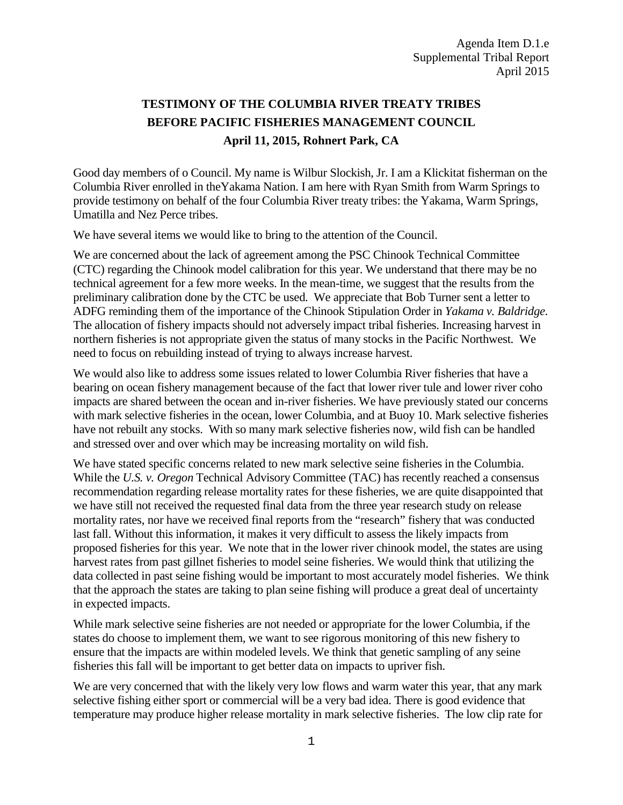## **TESTIMONY OF THE COLUMBIA RIVER TREATY TRIBES BEFORE PACIFIC FISHERIES MANAGEMENT COUNCIL April 11, 2015, Rohnert Park, CA**

Good day members of o Council. My name is Wilbur Slockish, Jr. I am a Klickitat fisherman on the Columbia River enrolled in theYakama Nation. I am here with Ryan Smith from Warm Springs to provide testimony on behalf of the four Columbia River treaty tribes: the Yakama, Warm Springs, Umatilla and Nez Perce tribes.

We have several items we would like to bring to the attention of the Council.

We are concerned about the lack of agreement among the PSC Chinook Technical Committee (CTC) regarding the Chinook model calibration for this year. We understand that there may be no technical agreement for a few more weeks. In the mean-time, we suggest that the results from the preliminary calibration done by the CTC be used. We appreciate that Bob Turner sent a letter to ADFG reminding them of the importance of the Chinook Stipulation Order in *Yakama v. Baldridge.* The allocation of fishery impacts should not adversely impact tribal fisheries. Increasing harvest in northern fisheries is not appropriate given the status of many stocks in the Pacific Northwest. We need to focus on rebuilding instead of trying to always increase harvest.

We would also like to address some issues related to lower Columbia River fisheries that have a bearing on ocean fishery management because of the fact that lower river tule and lower river coho impacts are shared between the ocean and in-river fisheries. We have previously stated our concerns with mark selective fisheries in the ocean, lower Columbia, and at Buoy 10. Mark selective fisheries have not rebuilt any stocks. With so many mark selective fisheries now, wild fish can be handled and stressed over and over which may be increasing mortality on wild fish.

We have stated specific concerns related to new mark selective seine fisheries in the Columbia. While the *U.S. v. Oregon* Technical Advisory Committee (TAC) has recently reached a consensus recommendation regarding release mortality rates for these fisheries, we are quite disappointed that we have still not received the requested final data from the three year research study on release mortality rates, nor have we received final reports from the "research" fishery that was conducted last fall. Without this information, it makes it very difficult to assess the likely impacts from proposed fisheries for this year. We note that in the lower river chinook model, the states are using harvest rates from past gillnet fisheries to model seine fisheries. We would think that utilizing the data collected in past seine fishing would be important to most accurately model fisheries. We think that the approach the states are taking to plan seine fishing will produce a great deal of uncertainty in expected impacts.

While mark selective seine fisheries are not needed or appropriate for the lower Columbia, if the states do choose to implement them, we want to see rigorous monitoring of this new fishery to ensure that the impacts are within modeled levels. We think that genetic sampling of any seine fisheries this fall will be important to get better data on impacts to upriver fish.

We are very concerned that with the likely very low flows and warm water this year, that any mark selective fishing either sport or commercial will be a very bad idea. There is good evidence that temperature may produce higher release mortality in mark selective fisheries. The low clip rate for